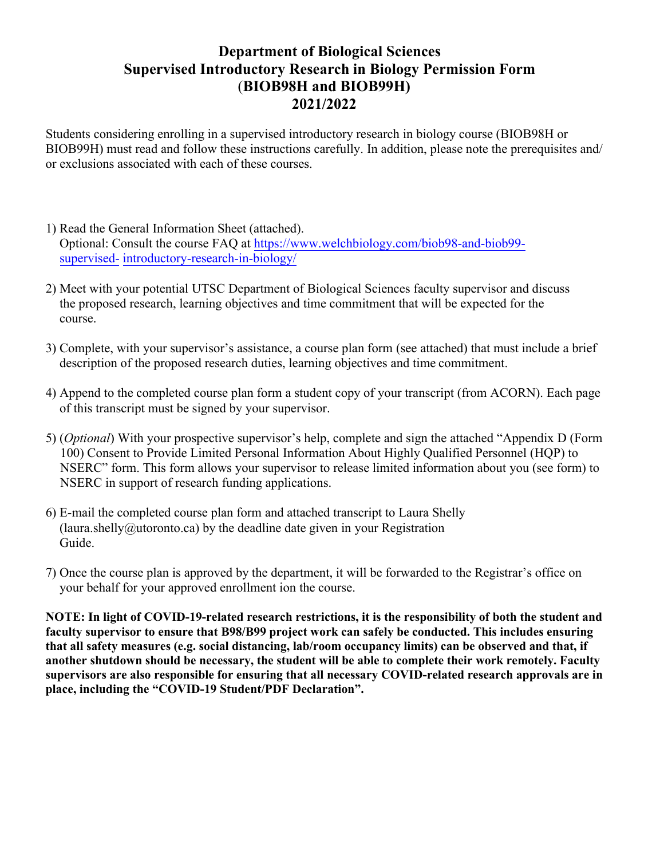## **Department of Biological Sciences Supervised Introductory Research in Biology Permission Form**  (**BIOB98H and BIOB99H) 2021/2022**

Students considering enrolling in a supervised introductory research in biology course (BIOB98H or BIOB99H) must read and follow these instructions carefully. In addition, please note the prerequisites and/ or exclusions associated with each of these courses.

- 1) Read the General Information Sheet (attached). Optional: Consult the course FAQ at [https://www.welchbiology.com/biob98-and-biob99](https://www.welchbiology.com/biob98-and-biob99-supervised-introductory-research-in-biology/) [supervised-](https://www.welchbiology.com/biob98-and-biob99-supervised-introductory-research-in-biology/) [introductory-research-in-biology/](https://www.welchbiology.com/biob98-and-biob99-supervised-introductory-research-in-biology/)
- 2) Meet with your potential UTSC Department of Biological Sciences faculty supervisor and discuss the proposed research, learning objectives and time commitment that will be expected for the course.
- 3) Complete, with your supervisor's assistance, a course plan form (see attached) that must include a brief description of the proposed research duties, learning objectives and time commitment.
- 4) Append to the completed course plan form a student copy of your transcript (from ACORN). Each page of this transcript must be signed by your supervisor.
- 5) (*Optional*) With your prospective supervisor's help, complete and sign the attached "Appendix D (Form 100) Consent to Provide Limited Personal Information About Highly Qualified Personnel (HQP) to NSERC" form. This form allows your supervisor to release limited information about you (see form) to NSERC in support of research funding applications.
- 6) E-mail the completed course plan form and attached transcript to Laura Shelly ([laura.shelly@utoronto.ca\)](mailto:lucy.pickering@utoronto.ca) by the deadline date given in your Registration Guide.
- 7) Once the course plan is approved by the department, it will be forwarded to the Registrar's office on your behalf for your approved enrollment ion the course.

**NOTE: In light of COVID-19-related research restrictions, it is the responsibility of both the student and faculty supervisor to ensure that B98/B99 project work can safely be conducted. This includes ensuring that all safety measures (e.g. social distancing, lab/room occupancy limits) can be observed and that, if another shutdown should be necessary, the student will be able to complete their work remotely. Faculty supervisors are also responsible for ensuring that all necessary COVID-related research approvals are in place, including the "COVID-19 Student/PDF Declaration".**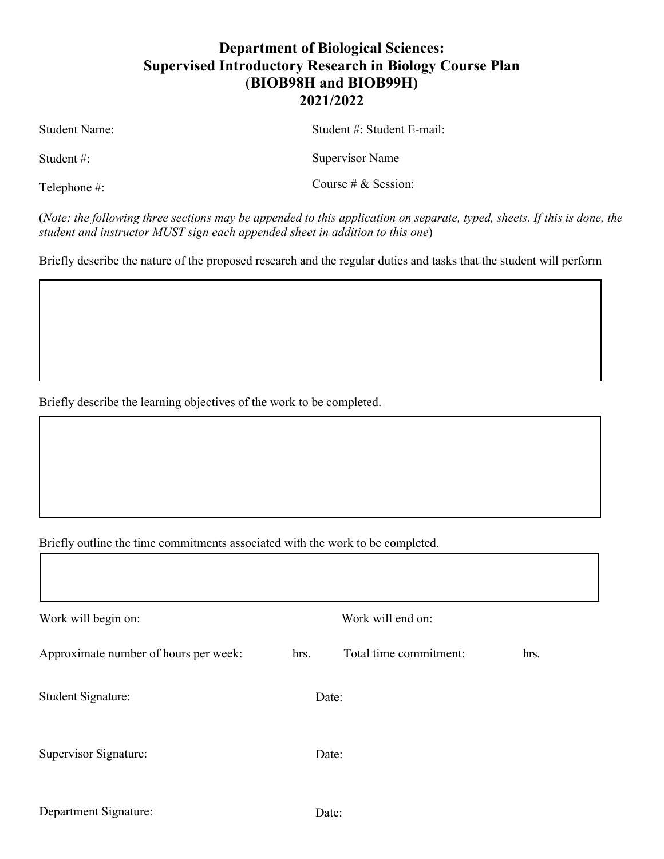# **Department of Biological Sciences: Supervised Introductory Research in Biology Course Plan** (**BIOB98H and BIOB99H) 2021/2022**

Student Name:

Student #:

Telephone #:

Supervisor Name

Student #: Student E-mail:

Course # & Session:

(*Note: the following three sections may be appended to this application on separate, typed, sheets. If this is done, the student and instructor MUST sign each appended sheet in addition to this one*)

Briefly describe the nature of the proposed research and the regular duties and tasks that the student will perform

Briefly describe the learning objectives of the work to be completed.

Briefly outline the time commitments associated with the work to be completed.

| Work will begin on:                   |       | Work will end on:      |      |  |
|---------------------------------------|-------|------------------------|------|--|
| Approximate number of hours per week: | hrs.  | Total time commitment: | hrs. |  |
| <b>Student Signature:</b>             | Date: |                        |      |  |
| Supervisor Signature:                 | Date: |                        |      |  |
|                                       |       |                        |      |  |